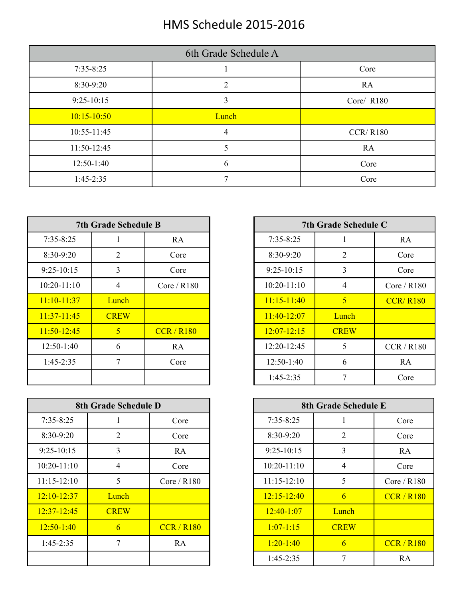## HMS Schedule 2015-2016

| 6th Grade Schedule A |       |                 |  |  |  |  |
|----------------------|-------|-----------------|--|--|--|--|
| $7:35 - 8:25$        |       | Core            |  |  |  |  |
| 8:30-9:20            |       | <b>RA</b>       |  |  |  |  |
| $9:25-10:15$         | 3     | Core/ R180      |  |  |  |  |
| $10:15 - 10:50$      | Lunch |                 |  |  |  |  |
| 10:55-11:45          | 4     | <b>CCR/R180</b> |  |  |  |  |
| 11:50-12:45          |       | RA              |  |  |  |  |
| $12:50-1:40$         | 6     | Core            |  |  |  |  |
| $1:45-2:35$          | Ξ     | Core            |  |  |  |  |

|               | <b>7th Grade Schedule B</b> |               |                 | 7th Grade Schedule C |            |
|---------------|-----------------------------|---------------|-----------------|----------------------|------------|
| $7:35 - 8:25$ |                             | RA            | $7:35-8:25$     |                      | RA         |
| 8:30-9:20     | $\overline{2}$              | Core          | 8:30-9:20       | 2                    | Core       |
| $9:25-10:15$  | 3                           | Core          | $9:25-10:15$    | 3                    | Core       |
| $10:20-11:10$ | 4                           | Core / $R180$ | $10:20 - 11:10$ | 4                    | Core / $R$ |
| $11:10-11:37$ | Lunch                       |               | $11:15-11:40$   | 5                    | CCR/R      |
| $11:37-11:45$ | <b>CREW</b>                 |               | $11:40-12:07$   | Lunch                |            |
| $11:50-12:45$ | $\mathfrak{S}$              | CCR/R180      | $12:07 - 12:15$ | <b>CREW</b>          |            |
| $12:50-1:40$  | 6                           | RA            | 12:20-12:45     | 5                    | CCR/R      |
| $1:45-2:35$   | 7                           | Core          | $12:50-1:40$    | 6                    | RA         |
|               |                             |               | $1:45-2:35$     |                      | Core       |

|                 | 8th Grade Schedule D |               |
|-----------------|----------------------|---------------|
| $7:35 - 8:25$   |                      | Core          |
| 8:30-9:20       | 2                    | Core          |
| $9:25-10:15$    | 3                    | RA            |
| $10:20 - 11:10$ | $\overline{4}$       | Core          |
| $11:15-12:10$   | 5                    | Core / $R180$ |
| $12:10 - 12:37$ | Lunch                |               |
| $12:37 - 12:45$ | <b>CREW</b>          |               |
| $12:50-1:40$    | 6                    | CCR/R180      |
| $1:45-2:35$     | 7                    | RA            |
|                 |                      |               |

|                 | <b>7th Grade Schedule B</b> |               |                 | 7th Grade Schedule C |                 |
|-----------------|-----------------------------|---------------|-----------------|----------------------|-----------------|
| $7:35 - 8:25$   |                             | RA            | $7:35 - 8:25$   |                      | RA              |
| $8:30-9:20$     | $\overline{2}$              | Core          | 8:30-9:20       | $\overline{2}$       | Core            |
| $9:25-10:15$    | 3                           | Core          | $9:25-10:15$    | 3                    | Core            |
| $10:20 - 11:10$ | $\overline{4}$              | Core / $R180$ | $10:20 - 11:10$ | 4                    | Core / R180     |
| $11:10-11:37$   | Lunch                       |               | $11:15-11:40$   | $\overline{5}$       | <b>CCR/R180</b> |
| $11:37-11:45$   | <b>CREW</b>                 |               | $11:40-12:07$   | Lunch                |                 |
| $11:50-12:45$   | 5 <sup>5</sup>              | CCR/R180      | $12:07 - 12:15$ | <b>CREW</b>          |                 |
| $12:50-1:40$    | 6                           | RA            | 12:20-12:45     | 5                    | CCR/R180        |
| $1:45-2:35$     | 7                           | Core          | $12:50-1:40$    | 6                    | RA              |
|                 |                             |               | $1:45-2:35$     | 7                    | Core            |

| 8th Grade Schedule D |                |               | 8th Grade Schedule E |                |                 |
|----------------------|----------------|---------------|----------------------|----------------|-----------------|
| $7:35 - 8:25$        |                | Core          | $7:35 - 8:25$        |                | Core            |
| $8:30-9:20$          | $\overline{2}$ | Core          | $8:30-9:20$          | $\overline{2}$ | Core            |
| $9:25-10:15$         | 3              | RA            | $9:25-10:15$         | 3              | RA              |
| $10:20 - 11:10$      | 4              | Core          | $10:20 - 11:10$      | $\overline{4}$ | Core            |
| $11:15 - 12:10$      | 5              | Core / $R180$ | $11:15-12:10$        | 5              | Core / $R180$   |
| $12:10 - 12:37$      | Lunch          |               | $12:15 - 12:40$      | 6              | <b>CCR/R180</b> |
| $12:37 - 12:45$      | <b>CREW</b>    |               | $12:40-1:07$         | Lunch          |                 |
| $12:50-1:40$         | 6              | CCR/R180      | $1:07 - 1:15$        | <b>CREW</b>    |                 |
| $1:45-2:35$          | 7              | RA            | $1:20-1:40$          | 6              | CCR/R180        |
|                      |                |               | $1:45-2:35$          | 7              | RA              |